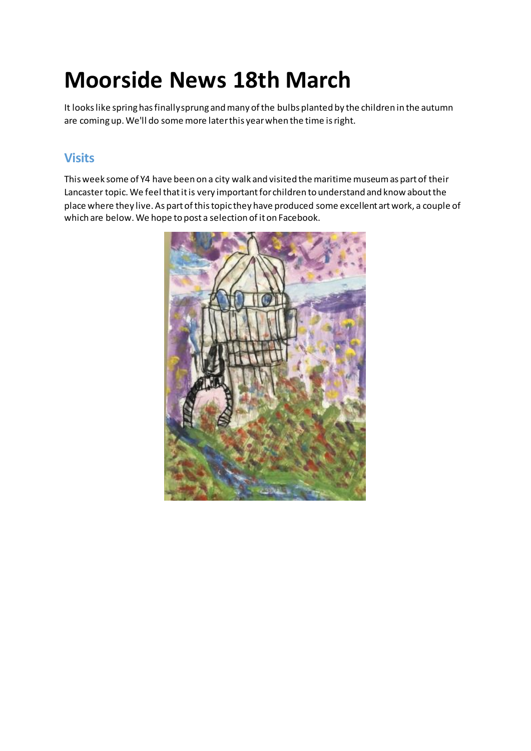# **Moorside News 18th March**

It looks like spring has finally sprung and many of the bulbs planted by the children in the autumn are coming up. We'll do some more later this year when the time is right.

## **Visits**

This week some of Y4 have been on a city walk and visited the maritime museum as part of their Lancaster topic. We feel that it is very important for children to understand and know about the place where they live. As part of this topic they have produced some excellent art work, a couple of which are below. We hope to post a selection of it on Facebook.

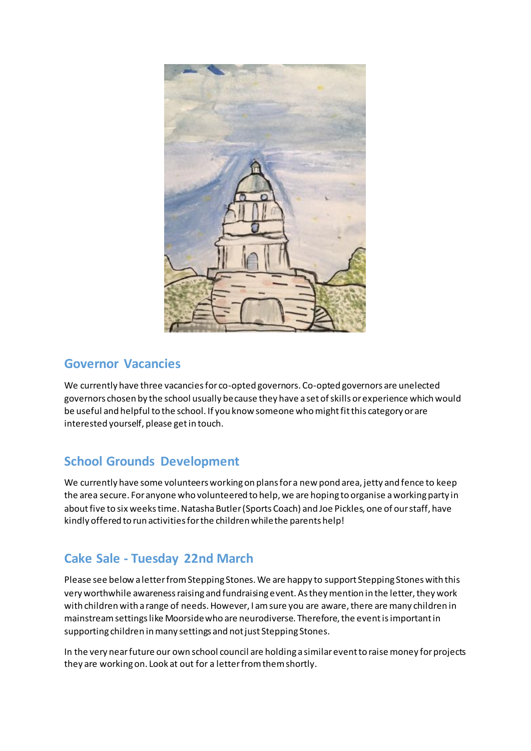

#### **Governor Vacancies**

We currently have three vacancies for co-opted governors. Co-opted governors are unelected governors chosen by the school usually because they have a set of skills or experience which would be useful and helpful to the school. If you know someone who might fit this category or are interested yourself, please get in touch.

# **School Grounds Development**

We currently have some volunteers working on plans for a new pond area, jetty and fence to keep the area secure. For anyone who volunteered to help, we are hoping to organise a working party in about five to six weeks time. Natasha Butler (Sports Coach) and Joe Pickles, one of our staff, have kindly offered to run activities for the children while the parents help!

# **Cake Sale - Tuesday 22nd March**

Please see below a letter from Stepping Stones. We are happy to support Stepping Stones with this very worthwhile awareness raising and fundraising event. As they mention in the letter, they work with children with a range of needs. However, I am sure you are aware, there are many children in mainstream settings like Moorside who are neurodiverse. Therefore, the event is important in supporting children in many settings and not just Stepping Stones.

In the very near future our own school council are holding a similar event to raise money for projects they are working on. Look at out for a letter from them shortly.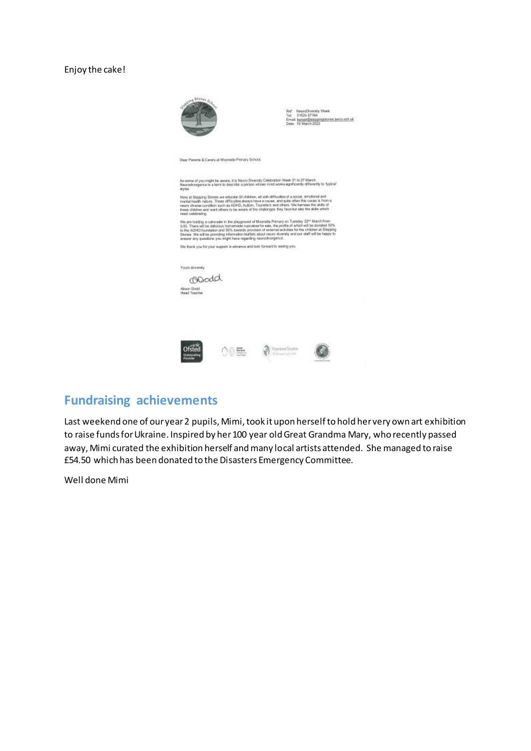#### Enjoy the cake!



Ref: NeuroDiversity Week<br>Tet 01524 67164<br>Ernelt burser@exegengolones.lance.com.uk<br>Date: 18 March 2022

Dear Parents & Carers at Moorside Primary School,

As some of you might be assess, it is News Diversity Colebration Week 21 to 27 March.<br>Newsperse is a term to describe a person whose mixd works significantly differently to "typical"<br>styles.

Here at Stepping Stones we educate 32 children, all with difficulties of a social, enrichend and<br>mental health rations. These difficulted always have a caseau, and gute offer the couple is from a<br>mental theories condition

We are holding a cale sale in the playproard of Moorside Primary on Tuesday 22" Match from<br>3.00. Theor will be deliciate homenade opposites for sale. the profile of which will be decaded 60%<br>In the ADHSI foundation and 50%

We thank you for your support in advance and look forward to seeing you.

| Yours sincerely<br>orodd                |                        |  |
|-----------------------------------------|------------------------|--|
| Alson Dadd<br>Head Teacher<br>64661. XX |                        |  |
|                                         |                        |  |
|                                         |                        |  |
|                                         | <b>RAPARTMENT</b><br>× |  |

#### **Fundraising achievements**

Last weekend one of our year 2 pupils, Mimi, took it upon herself to hold her very own art exhibition to raise funds for Ukraine. Inspired by her 100 year old Great Grandma Mary, who recently passed away, Mimi curated the exhibition herself and many local artists attended. She managed to raise £54.50 which has been donated to the Disasters Emergency Committee.

Well done Mimi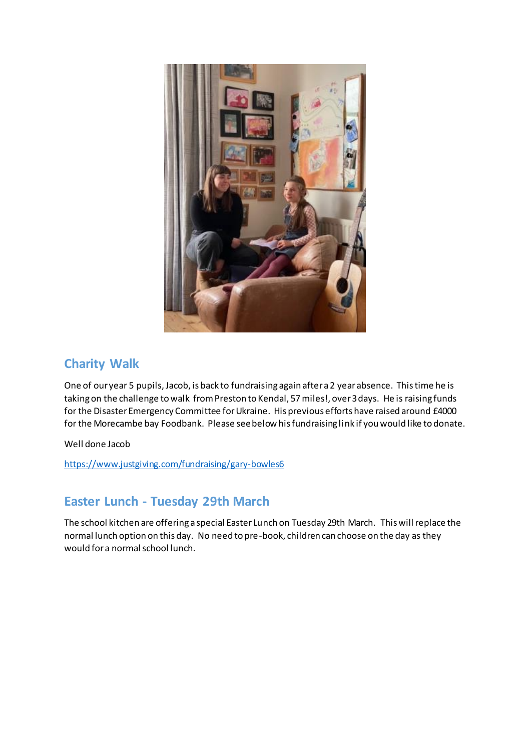

## **Charity Walk**

One of our year 5 pupils, Jacob, is back to fundraising again after a 2 year absence. This time he is taking on the challenge to walk from Preston to Kendal, 57 miles!, over 3 days. He is raising funds for the Disaster Emergency Committee for Ukraine. His previous efforts have raised around £4000 for the Morecambe bay Foodbank. Please see below his fundraising link if you would like to donate.

Well done Jacob

<https://www.justgiving.com/fundraising/gary-bowles6>

## **Easter Lunch - Tuesday 29th March**

The school kitchen are offering a special Easter Lunch on Tuesday 29th March. This will replace the normal lunch option on this day. No need to pre-book, children can choose on the day as they would for a normal school lunch.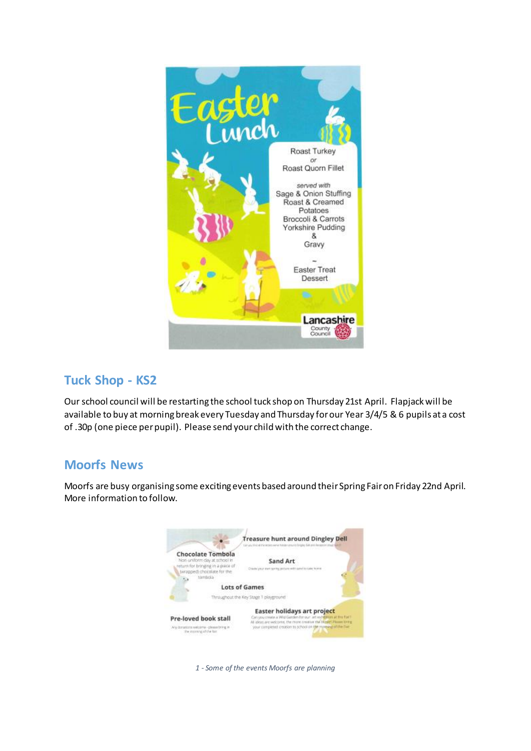

## **Tuck Shop - KS2**

Our school council will be restarting the school tuck shop on Thursday 21st April. Flapjack will be available to buy at morning break every Tuesday and Thursday for our Year 3/4/5 & 6 pupils at a cost of .30p (one piece per pupil). Please send your child with the correct change.

## **Moorfs News**

Moorfs are busy organising some exciting events based around their Spring Fair on Friday 22nd April. More information to follow.



*1 - Some of the events Moorfs are planning*